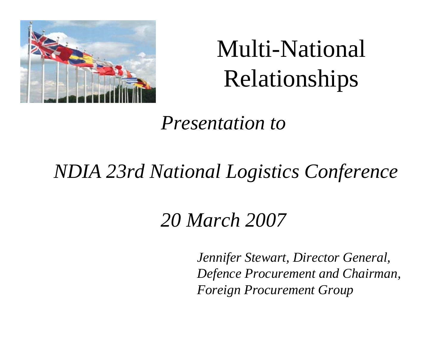

## Multi-National Relationships

*Presentation to*

#### *NDIA 23rd National Logistics Conference*

#### *20 March 2007*

*Jennifer Stewart, Director General, Defence Procurement and Chairman, Foreign Procurement Group*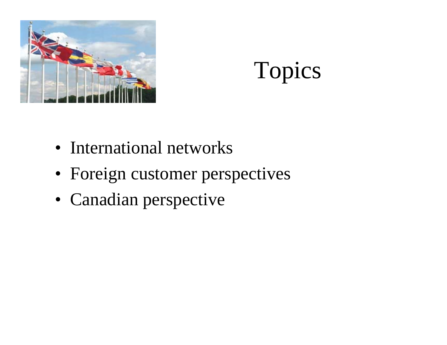



- International networks
- Foreign customer perspectives
- Canadian perspective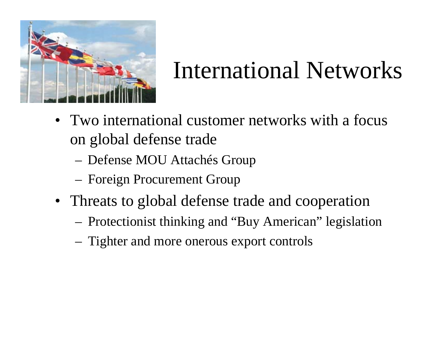

## International Networks

- Two international customer networks with a focus on global defense trade
	- Defense MOU Attachés Group
	- Foreign Procurement Group
- Threats to global defense trade and cooperation
	- Protectionist thinking and "Buy American" legislation
	- Tighter and more onerous export controls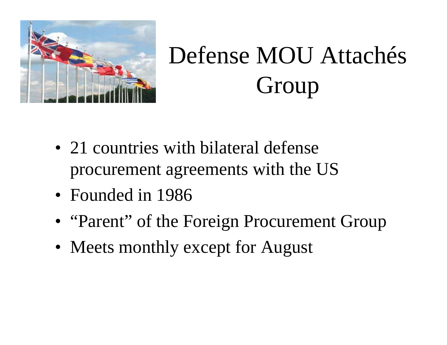

# Defense MOU Attachés Group

- 21 countries with bilateral defense procurement agreements with the US
- Founded in 1986
- "Parent" of the Foreign Procurement Group
- Meets monthly except for August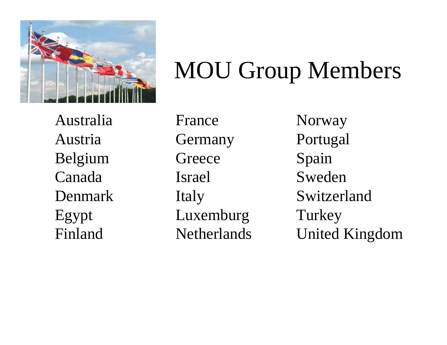

#### MOU Group Members

AustraliaAustriaBelgium CanadaDenmarkEgypt Finland

FranceGermany **Greece** IsraelItaly Luxemburg **Netherlands** 

Norway Portugal Spain SwedenSwitzerlandTurkey United Kingdom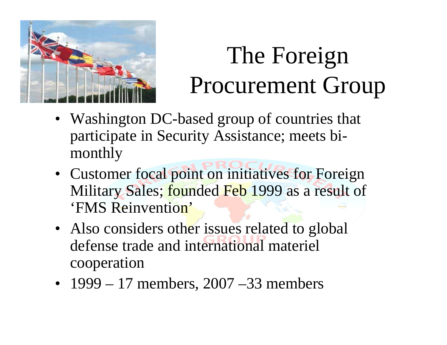

# The Foreign Procurement Group

- Washington DC-based group of countries that participate in Security Assistance; meets bimonthly
- Customer focal point on initiatives for Foreign Military Sales; founded Feb 1999 as a result of 'FMS Reinvention'
- Also considers other issues related to global defense trade and international materiel cooperation
- 1999 17 members, 2007 –33 members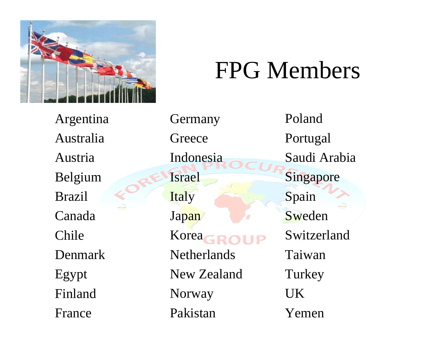

#### FPG Members

Argentina Australia AustriaBelgium BrazilCanadaChileDenmarkEgypt FinlandFrance

Germany **Greece** IndonesiaIsrael **Italy** Japan Korea **Netherlands** New ZealandNorway Pakistan PolandPortugal Saudi ArabiaSingapore Spain SwedenSwitzerlandTaiwan**Turkey** UKYemen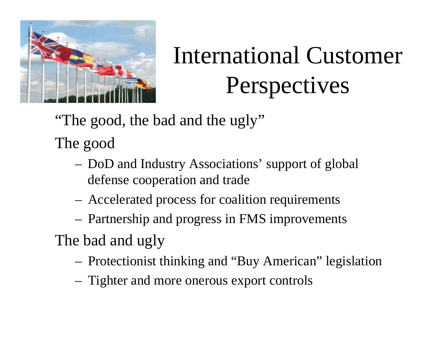

# International Customer Perspectives

"The good, the bad and the ugly"

The good

- DoD and Industry Associations' support of global defense cooperation and trade
- Accelerated process for coalition requirements
- Partnership and progress in FMS improvements

The bad and ugly

- Protectionist thinking and "Buy American" legislation
- Tighter and more onerous export controls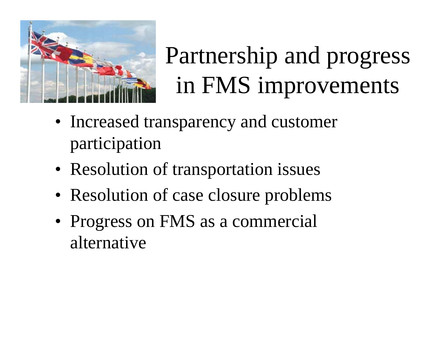

## Partnership and progress in FMS improvements

- Increased transparency and customer participation
- Resolution of transportation issues
- Resolution of case closure problems
- Progress on FMS as a commercial alternative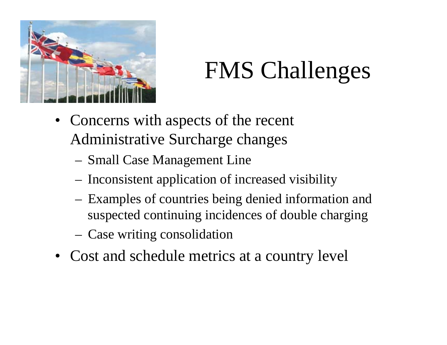

## FMS Challenges

- Concerns with aspects of the recent Administrative Surcharge changes
	- Small Case Management Line
	- Inconsistent application of increased visibility
	- Examples of countries being denied information and suspected continuing incidences of double charging
	- Case writing consolidation
- Cost and schedule metrics at a country level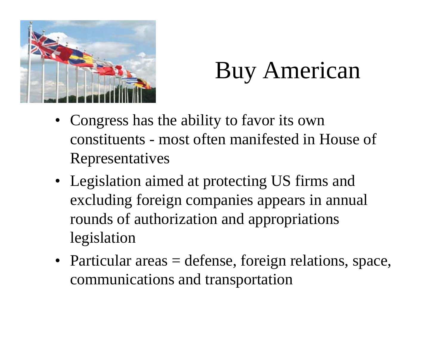

#### Buy American

- Congress has the ability to favor its own constituents - most often manifested in House of Representatives
- Legislation aimed at protecting US firms and excluding foreign companies appears in annual rounds of authorization and appropriations legislation
- Particular areas = defense, foreign relations, space, communications and transportation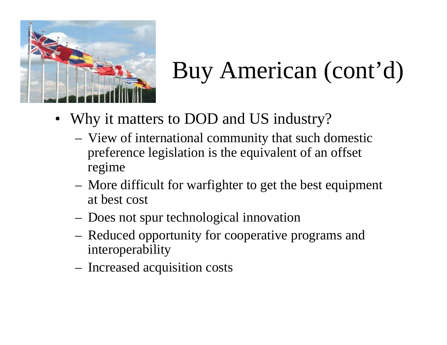

# Buy American (cont'd)

- Why it matters to DOD and US industry?
	- View of international community that such domestic preference legislation is the equivalent of an offset regime
	- More difficult for warfighter to get the best equipment at best cost
	- Does not spur technological innovation
	- Reduced opportunity for cooperative programs and interoperability
	- Increased acquisition costs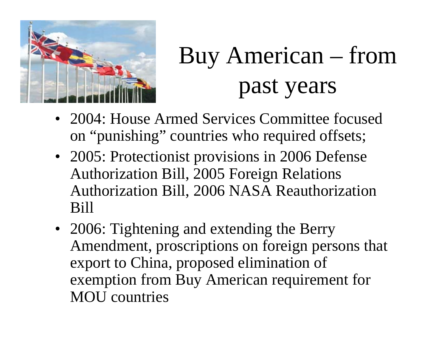

# Buy American – from past years

- 2004: House Armed Services Committee focused on "punishing" countries who required offsets;
- 2005: Protectionist provisions in 2006 Defense Authorization Bill, 2005 Foreign Relations Authorization Bill, 2006 NASA Reauthorization Bill
- 2006: Tightening and extending the Berry Amendment, proscriptions on foreign persons that export to China, proposed elimination of exemption from Buy American requirement for MOU countries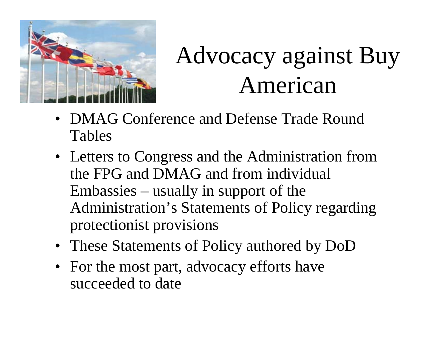

## Advocacy against Buy American

- DMAG Conference and Defense Trade Round Tables
- Letters to Congress and the Administration from the FPG and DMAG and from individual Embassies – usually in support of the Administration's Statements of Policy regarding protectionist provisions
- These Statements of Policy authored by DoD
- For the most part, advocacy efforts have succeeded to date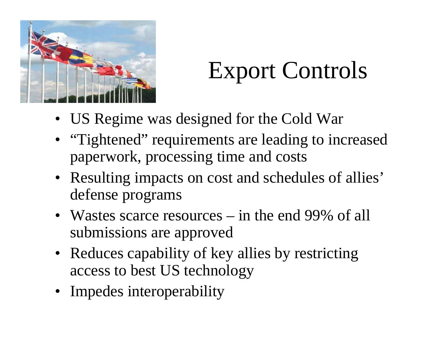

## Export Controls

- US Regime was designed for the Cold War
- "Tightened" requirements are leading to increased paperwork, processing time and costs
- Resulting impacts on cost and schedules of allies' defense programs
- Wastes scarce resources in the end 99% of all submissions are approved
- Reduces capability of key allies by restricting access to best US technology
- Impedes interoperability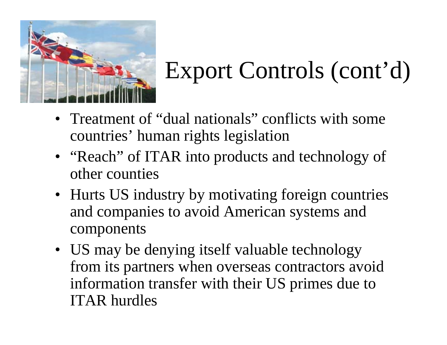

## Export Controls (cont'd)

- Treatment of "dual nationals" conflicts with some countries' human rights legislation
- "Reach" of ITAR into products and technology of other counties
- Hurts US industry by motivating foreign countries and companies to avoid American systems and components
- US may be denying itself valuable technology from its partners when overseas contractors avoid information transfer with their US primes due to ITAR hurdles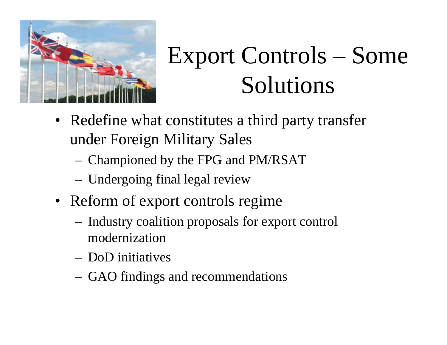

## Export Controls – Some Solutions

- Redefine what constitutes a third party transfer under Foreign Military Sales
	- Championed by the FPG and PM/RSAT
	- Undergoing final legal review
- Reform of export controls regime
	- Industry coalition proposals for export control modernization
	- DoD initiatives
	- GAO findings and recommendations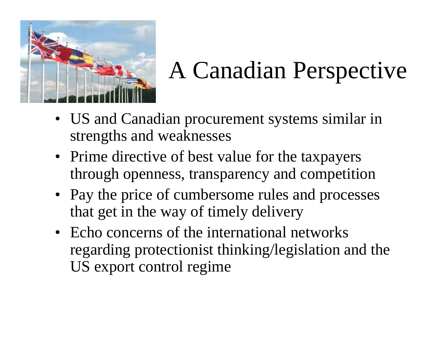

## A Canadian Perspective

- US and Canadian procurement systems similar in strengths and weaknesses
- Prime directive of best value for the taxpayers through openness, transparency and competition
- Pay the price of cumbersome rules and processes that get in the way of timely delivery
- Echo concerns of the international networks regarding protectionist thinking/legislation and the US export control regime